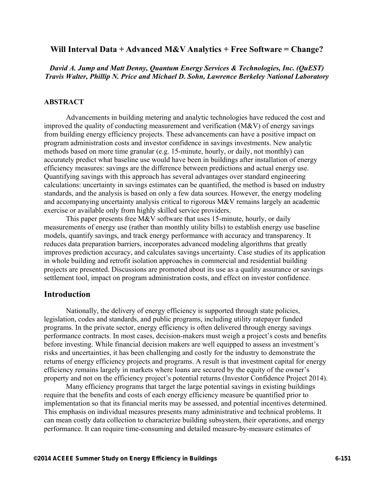# **Will Interval Data + Advanced M&V Analytics + Free Software = Change?**

*David A. Jump and Matt Denny, Quantum Energy Services & Technologies, Inc. (QuEST) Travis Walter, Phillip N. Price and Michael D. Sohn, Lawrence Berkeley National Laboratory* 

### **ABSTRACT**

Advancements in building metering and analytic technologies have reduced the cost and improved the quality of conducting measurement and verification (M&V) of energy savings from building energy efficiency projects. These advancements can have a positive impact on program administration costs and investor confidence in savings investments. New analytic methods based on more time granular (e.g. 15-minute, hourly, or daily, not monthly) can accurately predict what baseline use would have been in buildings after installation of energy efficiency measures: savings are the difference between predictions and actual energy use. Quantifying savings with this approach has several advantages over standard engineering calculations: uncertainty in savings estimates can be quantified, the method is based on industry standards, and the analysis is based on only a few data sources. However, the energy modeling and accompanying uncertainty analysis critical to rigorous M&V remains largely an academic exercise or available only from highly skilled service providers.

This paper presents free M&V software that uses 15-minute, hourly, or daily measurements of energy use (rather than monthly utility bills) to establish energy use baseline models, quantify savings, and track energy performance with accuracy and transparency. It reduces data preparation barriers, incorporates advanced modeling algorithms that greatly improves prediction accuracy, and calculates savings uncertainty. Case studies of its application in whole building and retrofit isolation approaches in commercial and residential building projects are presented. Discussions are promoted about its use as a quality assurance or savings settlement tool, impact on program administration costs, and effect on investor confidence.

### **Introduction**

Nationally, the delivery of energy efficiency is supported through state policies, legislation, codes and standards, and public programs, including utility ratepayer funded programs. In the private sector, energy efficiency is often delivered through energy savings performance contracts. In most cases, decision-makers must weigh a project's costs and benefits before investing. While financial decision makers are well equipped to assess an investment's risks and uncertainties, it has been challenging and costly for the industry to demonstrate the returns of energy efficiency projects and programs. A result is that investment capital for energy efficiency remains largely in markets where loans are secured by the equity of the owner's property and not on the efficiency project's potential returns (Investor Confidence Project 2014).

Many efficiency programs that target the large potential savings in existing buildings require that the benefits and costs of each energy efficiency measure be quantified prior to implementation so that its financial merits may be assessed, and potential incentives determined. This emphasis on individual measures presents many administrative and technical problems. It can mean costly data collection to characterize building subsystem, their operations, and energy performance. It can require time-consuming and detailed measure-by-measure estimates of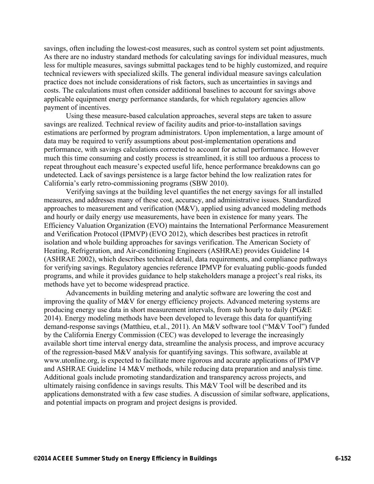savings, often including the lowest-cost measures, such as control system set point adjustments. As there are no industry standard methods for calculating savings for individual measures, much less for multiple measures, savings submittal packages tend to be highly customized, and require technical reviewers with specialized skills. The general individual measure savings calculation practice does not include considerations of risk factors, such as uncertainties in savings and costs. The calculations must often consider additional baselines to account for savings above applicable equipment energy performance standards, for which regulatory agencies allow payment of incentives.

Using these measure-based calculation approaches, several steps are taken to assure savings are realized. Technical review of facility audits and prior-to-installation savings estimations are performed by program administrators. Upon implementation, a large amount of data may be required to verify assumptions about post-implementation operations and performance, with savings calculations corrected to account for actual performance. However much this time consuming and costly process is streamlined, it is still too arduous a process to repeat throughout each measure's expected useful life, hence performance breakdowns can go undetected. Lack of savings persistence is a large factor behind the low realization rates for California's early retro-commissioning programs (SBW 2010).

Verifying savings at the building level quantifies the net energy savings for all installed measures, and addresses many of these cost, accuracy, and administrative issues. Standardized approaches to measurement and verification (M&V), applied using advanced modeling methods and hourly or daily energy use measurements, have been in existence for many years. The Efficiency Valuation Organization (EVO) maintains the International Performance Measurement and Verification Protocol (IPMVP) (EVO 2012), which describes best practices in retrofit isolation and whole building approaches for savings verification. The American Society of Heating, Refrigeration, and Air-conditioning Engineers (ASHRAE) provides Guideline 14 (ASHRAE 2002), which describes technical detail, data requirements, and compliance pathways for verifying savings. Regulatory agencies reference IPMVP for evaluating public-goods funded programs, and while it provides guidance to help stakeholders manage a project's real risks, its methods have yet to become widespread practice.

Advancements in building metering and analytic software are lowering the cost and improving the quality of M&V for energy efficiency projects. Advanced metering systems are producing energy use data in short measurement intervals, from sub hourly to daily (PG&E 2014). Energy modeling methods have been developed to leverage this data for quantifying demand-response savings (Matthieu, et.al., 2011). An M&V software tool ("M&V Tool") funded by the California Energy Commission (CEC) was developed to leverage the increasingly available short time interval energy data, streamline the analysis process, and improve accuracy of the regression-based M&V analysis for quantifying savings. This software, available at www.utonline.org, is expected to facilitate more rigorous and accurate applications of IPMVP and ASHRAE Guideline 14 M&V methods, while reducing data preparation and analysis time. Additional goals include promoting standardization and transparency across projects, and ultimately raising confidence in savings results. This M&V Tool will be described and its applications demonstrated with a few case studies. A discussion of similar software, applications, and potential impacts on program and project designs is provided.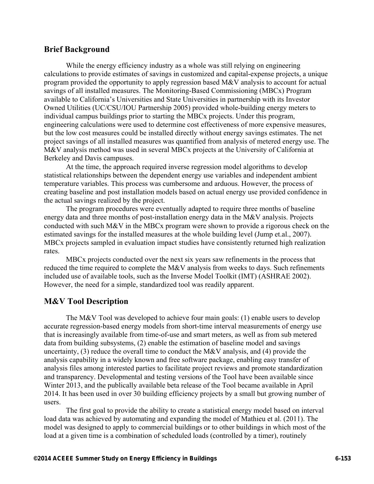# **Brief Background**

While the energy efficiency industry as a whole was still relying on engineering calculations to provide estimates of savings in customized and capital-expense projects, a unique program provided the opportunity to apply regression based M&V analysis to account for actual savings of all installed measures. The Monitoring-Based Commissioning (MBCx) Program available to California's Universities and State Universities in partnership with its Investor Owned Utilities (UC/CSU/IOU Partnership 2005) provided whole-building energy meters to individual campus buildings prior to starting the MBCx projects. Under this program, engineering calculations were used to determine cost effectiveness of more expensive measures, but the low cost measures could be installed directly without energy savings estimates. The net project savings of all installed measures was quantified from analysis of metered energy use. The M&V analysis method was used in several MBCx projects at the University of California at Berkeley and Davis campuses.

At the time, the approach required inverse regression model algorithms to develop statistical relationships between the dependent energy use variables and independent ambient temperature variables. This process was cumbersome and arduous. However, the process of creating baseline and post installation models based on actual energy use provided confidence in the actual savings realized by the project.

The program procedures were eventually adapted to require three months of baseline energy data and three months of post-installation energy data in the M&V analysis. Projects conducted with such M&V in the MBCx program were shown to provide a rigorous check on the estimated savings for the installed measures at the whole building level (Jump et.al., 2007). MBCx projects sampled in evaluation impact studies have consistently returned high realization rates.

MBCx projects conducted over the next six years saw refinements in the process that reduced the time required to complete the M&V analysis from weeks to days. Such refinements included use of available tools, such as the Inverse Model Toolkit (IMT) (ASHRAE 2002). However, the need for a simple, standardized tool was readily apparent.

# **M&V Tool Description**

The M&V Tool was developed to achieve four main goals: (1) enable users to develop accurate regression-based energy models from short-time interval measurements of energy use that is increasingly available from time-of-use and smart meters, as well as from sub metered data from building subsystems, (2) enable the estimation of baseline model and savings uncertainty, (3) reduce the overall time to conduct the M&V analysis, and (4) provide the analysis capability in a widely known and free software package, enabling easy transfer of analysis files among interested parties to facilitate project reviews and promote standardization and transparency. Developmental and testing versions of the Tool have been available since Winter 2013, and the publically available beta release of the Tool became available in April 2014. It has been used in over 30 building efficiency projects by a small but growing number of users.

The first goal to provide the ability to create a statistical energy model based on interval load data was achieved by automating and expanding the model of Mathieu et al. (2011). The model was designed to apply to commercial buildings or to other buildings in which most of the load at a given time is a combination of scheduled loads (controlled by a timer), routinely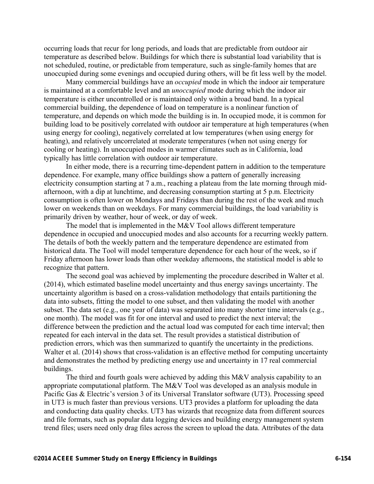occurring loads that recur for long periods, and loads that are predictable from outdoor air temperature as described below. Buildings for which there is substantial load variability that is not scheduled, routine, or predictable from temperature, such as single-family homes that are unoccupied during some evenings and occupied during others, will be fit less well by the model.

Many commercial buildings have an *occupied* mode in which the indoor air temperature is maintained at a comfortable level and an *unoccupied* mode during which the indoor air temperature is either uncontrolled or is maintained only within a broad band. In a typical commercial building, the dependence of load on temperature is a nonlinear function of temperature, and depends on which mode the building is in. In occupied mode, it is common for building load to be positively correlated with outdoor air temperature at high temperatures (when using energy for cooling), negatively correlated at low temperatures (when using energy for heating), and relatively uncorrelated at moderate temperatures (when not using energy for cooling or heating). In unoccupied modes in warmer climates such as in California, load typically has little correlation with outdoor air temperature.

In either mode, there is a recurring time-dependent pattern in addition to the temperature dependence. For example, many office buildings show a pattern of generally increasing electricity consumption starting at 7 a.m., reaching a plateau from the late morning through midafternoon, with a dip at lunchtime, and decreasing consumption starting at 5 p.m. Electricity consumption is often lower on Mondays and Fridays than during the rest of the week and much lower on weekends than on weekdays. For many commercial buildings, the load variability is primarily driven by weather, hour of week, or day of week.

The model that is implemented in the M&V Tool allows different temperature dependence in occupied and unoccupied modes and also accounts for a recurring weekly pattern. The details of both the weekly pattern and the temperature dependence are estimated from historical data. The Tool will model temperature dependence for each hour of the week, so if Friday afternoon has lower loads than other weekday afternoons, the statistical model is able to recognize that pattern.

The second goal was achieved by implementing the procedure described in Walter et al. (2014), which estimated baseline model uncertainty and thus energy savings uncertainty. The uncertainty algorithm is based on a cross-validation methodology that entails partitioning the data into subsets, fitting the model to one subset, and then validating the model with another subset. The data set (e.g., one year of data) was separated into many shorter time intervals (e.g., one month). The model was fit for one interval and used to predict the next interval; the difference between the prediction and the actual load was computed for each time interval; then repeated for each interval in the data set. The result provides a statistical distribution of prediction errors, which was then summarized to quantify the uncertainty in the predictions. Walter et al. (2014) shows that cross-validation is an effective method for computing uncertainty and demonstrates the method by predicting energy use and uncertainty in 17 real commercial buildings.

The third and fourth goals were achieved by adding this M&V analysis capability to an appropriate computational platform. The M&V Tool was developed as an analysis module in Pacific Gas & Electric's version 3 of its Universal Translator software (UT3). Processing speed in UT3 is much faster than previous versions. UT3 provides a platform for uploading the data and conducting data quality checks. UT3 has wizards that recognize data from different sources and file formats, such as popular data logging devices and building energy management system trend files; users need only drag files across the screen to upload the data. Attributes of the data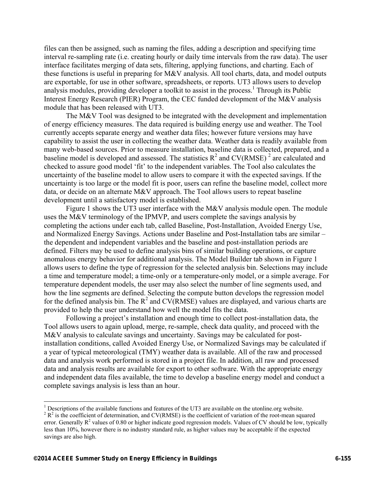files can then be assigned, such as naming the files, adding a description and specifying time interval re-sampling rate (i.e. creating hourly or daily time intervals from the raw data). The user interface facilitates merging of data sets, filtering, applying functions, and charting. Each of these functions is useful in preparing for M&V analysis. All tool charts, data, and model outputs are exportable, for use in other software, spreadsheets, or reports. UT3 allows users to develop analysis modules, providing developer a toolkit to assist in the process.<sup>1</sup> Through its Public Interest Energy Research (PIER) Program, the CEC funded development of the M&V analysis module that has been released with UT3.

The M&V Tool was designed to be integrated with the development and implementation of energy efficiency measures. The data required is building energy use and weather. The Tool currently accepts separate energy and weather data files; however future versions may have capability to assist the user in collecting the weather data. Weather data is readily available from many web-based sources. Prior to measure installation, baseline data is collected, prepared, and a baseline model is developed and assessed. The statistics  $R^2$  and  $CV(RMSE)^2$  are calculated and checked to assure good model 'fit' to the independent variables. The Tool also calculates the uncertainty of the baseline model to allow users to compare it with the expected savings. If the uncertainty is too large or the model fit is poor, users can refine the baseline model, collect more data, or decide on an alternate M&V approach. The Tool allows users to repeat baseline development until a satisfactory model is established.

Figure 1 shows the UT3 user interface with the M&V analysis module open. The module uses the M&V terminology of the IPMVP, and users complete the savings analysis by completing the actions under each tab, called Baseline, Post-Installation, Avoided Energy Use, and Normalized Energy Savings. Actions under Baseline and Post-Installation tabs are similar – the dependent and independent variables and the baseline and post-installation periods are defined. Filters may be used to define analysis bins of similar building operations, or capture anomalous energy behavior for additional analysis. The Model Builder tab shown in Figure 1 allows users to define the type of regression for the selected analysis bin. Selections may include a time and temperature model; a time-only or a temperature-only model, or a simple average. For temperature dependent models, the user may also select the number of line segments used, and how the line segments are defined. Selecting the compute button develops the regression model for the defined analysis bin. The  $R^2$  and CV(RMSE) values are displayed, and various charts are provided to help the user understand how well the model fits the data.

Following a project's installation and enough time to collect post-installation data, the Tool allows users to again upload, merge, re-sample, check data quality, and proceed with the M&V analysis to calculate savings and uncertainty. Savings may be calculated for postinstallation conditions, called Avoided Energy Use, or Normalized Savings may be calculated if a year of typical meteorological (TMY) weather data is available. All of the raw and processed data and analysis work performed is stored in a project file. In addition, all raw and processed data and analysis results are available for export to other software. With the appropriate energy and independent data files available, the time to develop a baseline energy model and conduct a complete savings analysis is less than an hour.

 $\overline{a}$ 

<sup>&</sup>lt;sup>1</sup> Descriptions of the available functions and features of the UT3 are available on the utonline.org website.  $2^2R^2$  is the coefficient of determination, and CV(PMSE) is the coefficient of unition of the root mean can

R<sup>2</sup> is the coefficient of determination, and CV(RMSE) is the coefficient of variation of the root-mean squared error. Generally  $R^2$  values of 0.80 or higher indicate good regression models. Values of CV should be low, typically less than 10%, however there is no industry standard rule, as higher values may be acceptable if the expected savings are also high.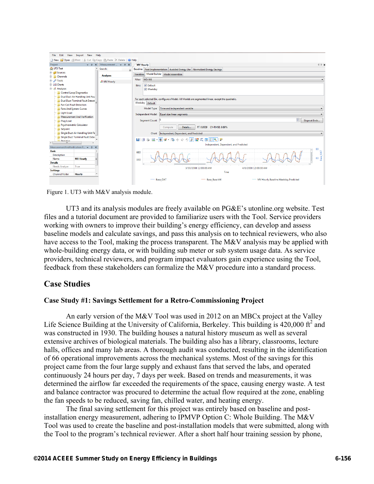| Edit<br>View<br>Import New Help<br>File                                      |                                                           |                                                                                                  |  |  |  |  |  |  |  |  |  |  |
|------------------------------------------------------------------------------|-----------------------------------------------------------|--------------------------------------------------------------------------------------------------|--|--|--|--|--|--|--|--|--|--|
| Open <i>A</i> Print   & Cut <b>The Copy B Paste X Delete</b>   @ Help<br>Rew |                                                           |                                                                                                  |  |  |  |  |  |  |  |  |  |  |
| Project                                                                      | $\bullet$ $\uparrow$ X Measurement $\bullet$ $\uparrow$ X | $4$ $\triangleright$ $\times$<br><b>MV Hourly</b>                                                |  |  |  |  |  |  |  |  |  |  |
| <b>O</b> UT3 Test                                                            | Search:                                                   | Baseline   Post Implementation   Avoided Energy Use   Normalized Energy Savings                  |  |  |  |  |  |  |  |  |  |  |
| <b>B D</b> Sources                                                           |                                                           | Model Builder Model Assembler<br>Variables                                                       |  |  |  |  |  |  |  |  |  |  |
| <b>E</b> Channels                                                            | <b>Analyses</b>                                           | WD-WE<br><b>Filter:</b>                                                                          |  |  |  |  |  |  |  |  |  |  |
| <b>Tools</b>                                                                 | <b>H</b> MV Hourly                                        |                                                                                                  |  |  |  |  |  |  |  |  |  |  |
| <b>E</b> MI Charts                                                           |                                                           | Default<br><b>Bins:</b>                                                                          |  |  |  |  |  |  |  |  |  |  |
| <b>E</b> <i>d</i> Analyses                                                   |                                                           | V Weekday                                                                                        |  |  |  |  |  |  |  |  |  |  |
| <b>Control Loop Diagnostics</b>                                              |                                                           |                                                                                                  |  |  |  |  |  |  |  |  |  |  |
| Dual Duct Air Handling Unit Fau                                              |                                                           | For each selected Bin, configure a Model. All Models are segmented linear, except the quadratic. |  |  |  |  |  |  |  |  |  |  |
| <b>Dual Duct Terminal Fault Detect</b>                                       |                                                           | Weekday Default                                                                                  |  |  |  |  |  |  |  |  |  |  |
| <b>Fan Coil Fault Detection</b>                                              |                                                           | Time and independent variable<br>Model Type:                                                     |  |  |  |  |  |  |  |  |  |  |
| <b>Fans And System Curves</b><br><b>Light Load</b>                           |                                                           |                                                                                                  |  |  |  |  |  |  |  |  |  |  |
| <b>Measurement And Verification</b>                                          |                                                           | Independent Model: Equal size linear segments                                                    |  |  |  |  |  |  |  |  |  |  |
| <b>Plug Load</b>                                                             |                                                           | 즉<br>Segment Count: 6<br>Slope at Ends                                                           |  |  |  |  |  |  |  |  |  |  |
| <b>Psychrometric Calculator</b>                                              |                                                           |                                                                                                  |  |  |  |  |  |  |  |  |  |  |
| Setpoint                                                                     |                                                           | R <sup>2</sup> : 0.9539 CV-RMSE: 9.89%<br>Details<br>Compute                                     |  |  |  |  |  |  |  |  |  |  |
| Single Duct Air Handling Unit Fa                                             | Chart: Independent, Dependent, and Predicted              |                                                                                                  |  |  |  |  |  |  |  |  |  |  |
| Single Duct Terminal Fault Deter                                             |                                                           |                                                                                                  |  |  |  |  |  |  |  |  |  |  |
| <b>Ill</b> Chatlatine<br>m.                                                  |                                                           | ■ダーツ◆中ヶ月記笑回日●少<br>Hn                                                                             |  |  |  |  |  |  |  |  |  |  |
| MeasurementAndVerification P ~<br>$\mathbf{a}$                               |                                                           | Independent, Dependent, and Predicted                                                            |  |  |  |  |  |  |  |  |  |  |
| <b>Basic</b>                                                                 |                                                           | 90<br>660                                                                                        |  |  |  |  |  |  |  |  |  |  |
| <b>Description</b>                                                           |                                                           |                                                                                                  |  |  |  |  |  |  |  |  |  |  |
| Name<br><b>MV Hourly</b>                                                     |                                                           | Base_OAT<br>60<br>330                                                                            |  |  |  |  |  |  |  |  |  |  |
| <b>Details</b>                                                               |                                                           |                                                                                                  |  |  |  |  |  |  |  |  |  |  |
| Needs Analyze<br>True                                                        |                                                           | 3/30/2008 12:00:00 AM<br>4/6/2008 12:00:00 AM                                                    |  |  |  |  |  |  |  |  |  |  |
| <b>Settings</b>                                                              |                                                           | Time                                                                                             |  |  |  |  |  |  |  |  |  |  |
| <b>Channel Folder</b><br>Hourly                                              |                                                           |                                                                                                  |  |  |  |  |  |  |  |  |  |  |
|                                                                              |                                                           | - Base OAT<br><b>Base Base kW</b><br>MV Hourly.Baseline.Weekday.Predicted                        |  |  |  |  |  |  |  |  |  |  |
|                                                                              |                                                           |                                                                                                  |  |  |  |  |  |  |  |  |  |  |

Figure 1. UT3 with M&V analysis module.

UT3 and its analysis modules are freely available on PG&E's utonline.org website. Test files and a tutorial document are provided to familiarize users with the Tool. Service providers working with owners to improve their building's energy efficiency, can develop and assess baseline models and calculate savings, and pass this analysis on to technical reviewers, who also have access to the Tool, making the process transparent. The M&V analysis may be applied with whole-building energy data, or with building sub meter or sub system usage data. As service providers, technical reviewers, and program impact evaluators gain experience using the Tool, feedback from these stakeholders can formalize the M&V procedure into a standard process.

## **Case Studies**

#### **Case Study #1: Savings Settlement for a Retro-Commissioning Project**

An early version of the M&V Tool was used in 2012 on an MBCx project at the Valley Life Science Building at the University of California, Berkeley. This building is  $420,000$  ft<sup>2</sup> and was constructed in 1930. The building houses a natural history museum as well as several extensive archives of biological materials. The building also has a library, classrooms, lecture halls, offices and many lab areas. A thorough audit was conducted, resulting in the identification of 66 operational improvements across the mechanical systems. Most of the savings for this project came from the four large supply and exhaust fans that served the labs, and operated continuously 24 hours per day, 7 days per week. Based on trends and measurements, it was determined the airflow far exceeded the requirements of the space, causing energy waste. A test and balance contractor was procured to determine the actual flow required at the zone, enabling the fan speeds to be reduced, saving fan, chilled water, and heating energy.

The final saving settlement for this project was entirely based on baseline and postinstallation energy measurement, adhering to IPMVP Option C: Whole Building. The M&V Tool was used to create the baseline and post-installation models that were submitted, along with the Tool to the program's technical reviewer. After a short half hour training session by phone,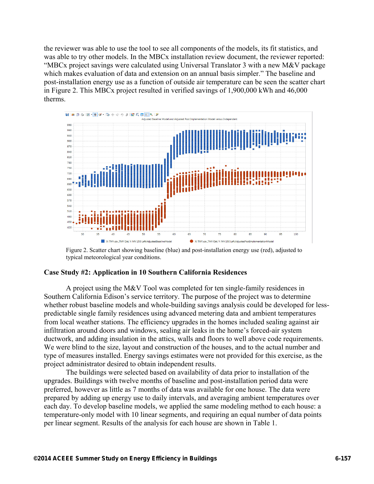the reviewer was able to use the tool to see all components of the models, its fit statistics, and was able to try other models. In the MBCx installation review document, the reviewer reported: "MBCx project savings were calculated using Universal Translator 3 with a new M&V package which makes evaluation of data and extension on an annual basis simpler." The baseline and post-installation energy use as a function of outside air temperature can be seen the scatter chart in Figure 2. This MBCx project resulted in verified savings of 1,900,000 kWh and 46,000 therms.



Figure 2. Scatter chart showing baseline (blue) and post-installation energy use (red), adjusted to typical meteorological year conditions.

#### **Case Study #2: Application in 10 Southern California Residences**

A project using the M&V Tool was completed for ten single-family residences in Southern California Edison's service territory. The purpose of the project was to determine whether robust baseline models and whole-building savings analysis could be developed for lesspredictable single family residences using advanced metering data and ambient temperatures from local weather stations. The efficiency upgrades in the homes included sealing against air infiltration around doors and windows, sealing air leaks in the home's forced-air system ductwork, and adding insulation in the attics, walls and floors to well above code requirements. We were blind to the size, layout and construction of the houses, and to the actual number and type of measures installed. Energy savings estimates were not provided for this exercise, as the project administrator desired to obtain independent results.

The buildings were selected based on availability of data prior to installation of the upgrades. Buildings with twelve months of baseline and post-installation period data were preferred, however as little as 7 months of data was available for one house. The data were prepared by adding up energy use to daily intervals, and averaging ambient temperatures over each day. To develop baseline models, we applied the same modeling method to each house: a temperature-only model with 10 linear segments, and requiring an equal number of data points per linear segment. Results of the analysis for each house are shown in Table 1.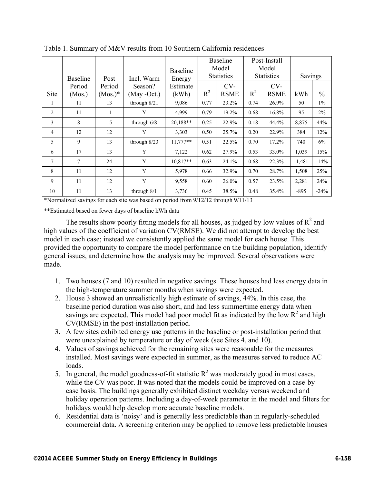|                | <b>Baseline</b> | Post       | Incl. Warm     | <b>Baseline</b><br>Energy | <b>Baseline</b><br>Model<br><b>Statistics</b> |             | Post-Install<br>Model<br><b>Statistics</b> |             | Savings  |               |
|----------------|-----------------|------------|----------------|---------------------------|-----------------------------------------------|-------------|--------------------------------------------|-------------|----------|---------------|
|                | Period          | Period     | Season?        | Estimate                  |                                               | $CV-$       |                                            | $CV-$       |          |               |
| Site           | (Mos.)          | $(Mos.)^*$ | (May -Oct.)    | (kWh)                     | $R^2$                                         | <b>RSME</b> | $R^2$                                      | <b>RSME</b> | kWh      | $\frac{0}{0}$ |
| 1              | 11              | 13         | through 8/21   | 9,086                     | 0.77                                          | 23.2%       | 0.74                                       | 26.9%       | 50       | $1\%$         |
| 2              | 11              | 11         | Y              | 4,999                     | 0.79                                          | 19.2%       | 0.68                                       | 16.8%       | 95       | 2%            |
| 3              | 8               | 15         | through $6/8$  | 20,188**                  | 0.25                                          | 22.9%       | 0.18                                       | 44.4%       | 8,875    | 44%           |
| $\overline{4}$ | 12              | 12         | Y              | 3,303                     | 0.50                                          | 25.7%       | 0.20                                       | 22.9%       | 384      | 12%           |
| 5              | 9               | 13         | through $8/23$ | $11,777**$                | 0.51                                          | 22.5%       | 0.70                                       | 17.2%       | 740      | 6%            |
| 6              | 17              | 13         | Y              | 7,122                     | 0.62                                          | 27.9%       | 0.53                                       | 33.0%       | 1,039    | 15%           |
| 7              | $\tau$          | 24         | Y              | $10.817**$                | 0.63                                          | 24.1%       | 0.68                                       | 22.3%       | $-1,481$ | $-14%$        |
| 8              | 11              | 12         | Y              | 5,978                     | 0.66                                          | 32.9%       | 0.70                                       | 28.7%       | 1,508    | 25%           |
| 9              | 11              | 12         | Y              | 9,558                     | 0.60                                          | 26.0%       | 0.57                                       | 23.5%       | 2,281    | 24%           |
| 10             | 11              | 13         | through $8/1$  | 3,736                     | 0.45                                          | 38.5%       | 0.48                                       | 35.4%       | $-895$   | $-24%$        |

Table 1. Summary of M&V results from 10 Southern California residences

\*Normalized savings for each site was based on period from 9/12/12 through 9/11/13

\*\*Estimated based on fewer days of baseline kWh data

The results show poorly fitting models for all houses, as judged by low values of  $R^2$  and high values of the coefficient of variation CV(RMSE). We did not attempt to develop the best model in each case; instead we consistently applied the same model for each house. This provided the opportunity to compare the model performance on the building population, identify general issues, and determine how the analysis may be improved. Several observations were made.

- 1. Two houses (7 and 10) resulted in negative savings. These houses had less energy data in the high-temperature summer months when savings were expected.
- 2. House 3 showed an unrealistically high estimate of savings, 44%. In this case, the baseline period duration was also short, and had less summertime energy data when savings are expected. This model had poor model fit as indicated by the low  $\mathbb{R}^2$  and high CV(RMSE) in the post-installation period.
- 3. A few sites exhibited energy use patterns in the baseline or post-installation period that were unexplained by temperature or day of week (see Sites 4, and 10).
- 4. Values of savings achieved for the remaining sites were reasonable for the measures installed. Most savings were expected in summer, as the measures served to reduce AC loads.
- 5. In general, the model goodness-of-fit statistic  $R^2$  was moderately good in most cases, while the CV was poor. It was noted that the models could be improved on a case-bycase basis. The buildings generally exhibited distinct weekday versus weekend and holiday operation patterns. Including a day-of-week parameter in the model and filters for holidays would help develop more accurate baseline models.
- 6. Residential data is 'noisy' and is generally less predictable than in regularly-scheduled commercial data. A screening criterion may be applied to remove less predictable houses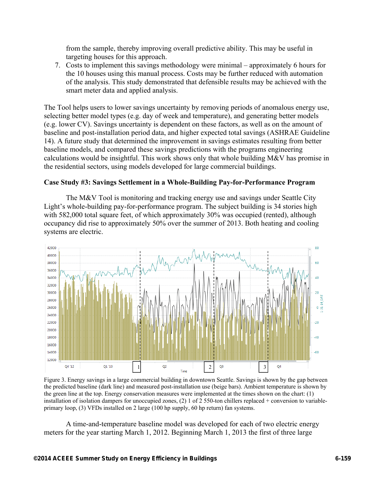from the sample, thereby improving overall predictive ability. This may be useful in targeting houses for this approach.

7. Costs to implement this savings methodology were minimal – approximately 6 hours for the 10 houses using this manual process. Costs may be further reduced with automation of the analysis. This study demonstrated that defensible results may be achieved with the smart meter data and applied analysis.

The Tool helps users to lower savings uncertainty by removing periods of anomalous energy use, selecting better model types (e.g. day of week and temperature), and generating better models (e.g. lower CV). Savings uncertainty is dependent on these factors, as well as on the amount of baseline and post-installation period data, and higher expected total savings (ASHRAE Guideline 14). A future study that determined the improvement in savings estimates resulting from better baseline models, and compared these savings predictions with the programs engineering calculations would be insightful. This work shows only that whole building M&V has promise in the residential sectors, using models developed for large commercial buildings.

### **Case Study #3: Savings Settlement in a Whole-Building Pay-for-Performance Program**

The M&V Tool is monitoring and tracking energy use and savings under Seattle City Light's whole-building pay-for-performance program. The subject building is 34 stories high with 582,000 total square feet, of which approximately 30% was occupied (rented), although occupancy did rise to approximately 50% over the summer of 2013. Both heating and cooling systems are electric.



Figure 3. Energy savings in a large commercial building in downtown Seattle. Savings is shown by the gap between the predicted baseline (dark line) and measured post-installation use (beige bars). Ambient temperature is shown by the green line at the top. Energy conservation measures were implemented at the times shown on the chart: (1) installation of isolation dampers for unoccupied zones, (2) 1 of 2 550-ton chillers replaced + conversion to variableprimary loop, (3) VFDs installed on 2 large (100 hp supply, 60 hp return) fan systems.

A time-and-temperature baseline model was developed for each of two electric energy meters for the year starting March 1, 2012. Beginning March 1, 2013 the first of three large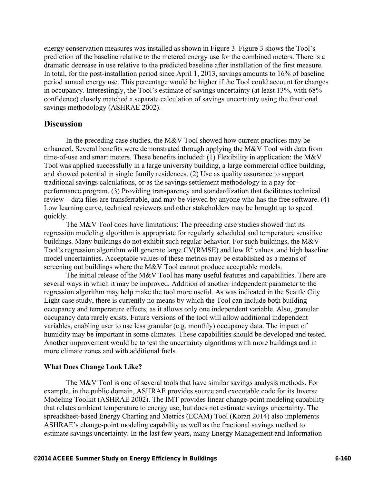energy conservation measures was installed as shown in Figure 3. Figure 3 shows the Tool's prediction of the baseline relative to the metered energy use for the combined meters. There is a dramatic decrease in use relative to the predicted baseline after installation of the first measure. In total, for the post-installation period since April 1, 2013, savings amounts to 16% of baseline period annual energy use. This percentage would be higher if the Tool could account for changes in occupancy. Interestingly, the Tool's estimate of savings uncertainty (at least 13%, with 68% confidence) closely matched a separate calculation of savings uncertainty using the fractional savings methodology (ASHRAE 2002).

## **Discussion**

In the preceding case studies, the M&V Tool showed how current practices may be enhanced. Several benefits were demonstrated through applying the M&V Tool with data from time-of-use and smart meters. These benefits included: (1) Flexibility in application: the M&V Tool was applied successfully in a large university building, a large commercial office building, and showed potential in single family residences. (2) Use as quality assurance to support traditional savings calculations, or as the savings settlement methodology in a pay-forperformance program. (3) Providing transparency and standardization that facilitates technical review – data files are transferrable, and may be viewed by anyone who has the free software. (4) Low learning curve, technical reviewers and other stakeholders may be brought up to speed quickly.

The M&V Tool does have limitations: The preceding case studies showed that its regression modeling algorithm is appropriate for regularly scheduled and temperature sensitive buildings. Many buildings do not exhibit such regular behavior. For such buildings, the M&V Tool's regression algorithm will generate large  $CV(RMSE)$  and low  $R^2$  values, and high baseline model uncertainties. Acceptable values of these metrics may be established as a means of screening out buildings where the M&V Tool cannot produce acceptable models.

The initial release of the M&V Tool has many useful features and capabilities. There are several ways in which it may be improved. Addition of another independent parameter to the regression algorithm may help make the tool more useful. As was indicated in the Seattle City Light case study, there is currently no means by which the Tool can include both building occupancy and temperature effects, as it allows only one independent variable. Also, granular occupancy data rarely exists. Future versions of the tool will allow additional independent variables, enabling user to use less granular (e.g. monthly) occupancy data. The impact of humidity may be important in some climates. These capabilities should be developed and tested. Another improvement would be to test the uncertainty algorithms with more buildings and in more climate zones and with additional fuels.

#### **What Does Change Look Like?**

The M&V Tool is one of several tools that have similar savings analysis methods. For example, in the public domain, ASHRAE provides source and executable code for its Inverse Modeling Toolkit (ASHRAE 2002). The IMT provides linear change-point modeling capability that relates ambient temperature to energy use, but does not estimate savings uncertainty. The spreadsheet-based Energy Charting and Metrics (ECAM) Tool (Koran 2014) also implements ASHRAE's change-point modeling capability as well as the fractional savings method to estimate savings uncertainty. In the last few years, many Energy Management and Information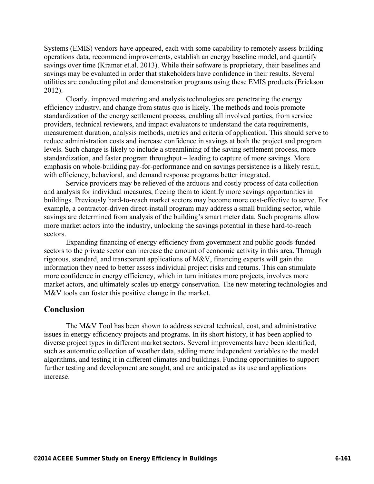Systems (EMIS) vendors have appeared, each with some capability to remotely assess building operations data, recommend improvements, establish an energy baseline model, and quantify savings over time (Kramer et.al. 2013). While their software is proprietary, their baselines and savings may be evaluated in order that stakeholders have confidence in their results. Several utilities are conducting pilot and demonstration programs using these EMIS products (Erickson 2012).

Clearly, improved metering and analysis technologies are penetrating the energy efficiency industry, and change from status quo is likely. The methods and tools promote standardization of the energy settlement process, enabling all involved parties, from service providers, technical reviewers, and impact evaluators to understand the data requirements, measurement duration, analysis methods, metrics and criteria of application. This should serve to reduce administration costs and increase confidence in savings at both the project and program levels. Such change is likely to include a streamlining of the saving settlement process, more standardization, and faster program throughput – leading to capture of more savings. More emphasis on whole-building pay-for-performance and on savings persistence is a likely result, with efficiency, behavioral, and demand response programs better integrated.

Service providers may be relieved of the arduous and costly process of data collection and analysis for individual measures, freeing them to identify more savings opportunities in buildings. Previously hard-to-reach market sectors may become more cost-effective to serve. For example, a contractor-driven direct-install program may address a small building sector, while savings are determined from analysis of the building's smart meter data. Such programs allow more market actors into the industry, unlocking the savings potential in these hard-to-reach sectors.

Expanding financing of energy efficiency from government and public goods-funded sectors to the private sector can increase the amount of economic activity in this area. Through rigorous, standard, and transparent applications of M&V, financing experts will gain the information they need to better assess individual project risks and returns. This can stimulate more confidence in energy efficiency, which in turn initiates more projects, involves more market actors, and ultimately scales up energy conservation. The new metering technologies and M&V tools can foster this positive change in the market.

## **Conclusion**

The M&V Tool has been shown to address several technical, cost, and administrative issues in energy efficiency projects and programs. In its short history, it has been applied to diverse project types in different market sectors. Several improvements have been identified, such as automatic collection of weather data, adding more independent variables to the model algorithms, and testing it in different climates and buildings. Funding opportunities to support further testing and development are sought, and are anticipated as its use and applications increase.